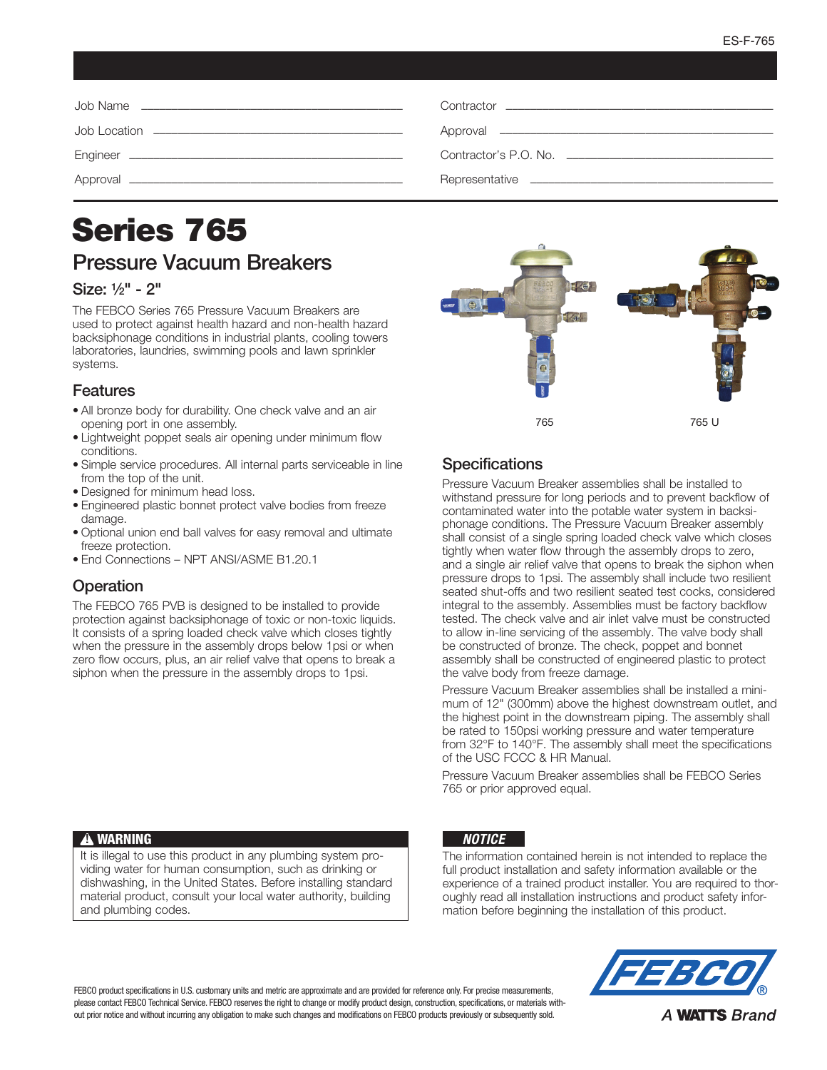# Series 765 Pressure Vacuum Breakers

#### Size: 1/2" - 2"

The FEBCO Series 765 Pressure Vacuum Breakers are used to protect against health hazard and non-health hazard backsiphonage conditions in industrial plants, cooling towers laboratories, laundries, swimming pools and lawn sprinkler systems.

#### Features

- All bronze body for durability. One check valve and an air opening port in one assembly.
- Lightweight poppet seals air opening under minimum flow conditions.
- Simple service procedures. All internal parts serviceable in line from the top of the unit.
- Designed for minimum head loss.
- Engineered plastic bonnet protect valve bodies from freeze damage
- Optional union end ball valves for easy removal and ultimate freeze protection.
- End Connections NPT ANSI/ASME B1.20.1

#### **Operation**

The FEBCO 765 PVB is designed to be installed to provide protection against backsiphonage of toxic or non-toxic liquids. It consists of a spring loaded check valve which closes tightly when the pressure in the assembly drops below 1psi or when zero flow occurs, plus, an air relief valve that opens to break a siphon when the pressure in the assembly drops to 1psi.



## **Specifications**

Pressure Vacuum Breaker assemblies shall be installed to withstand pressure for long periods and to prevent backflow of contaminated water into the potable water system in backsiphonage conditions. The Pressure Vacuum Breaker assembly shall consist of a single spring loaded check valve which closes tightly when water flow through the assembly drops to zero, and a single air relief valve that opens to break the siphon when pressure drops to 1psi. The assembly shall include two resilient seated shut-offs and two resilient seated test cocks, considered integral to the assembly. Assemblies must be factory backflow tested. The check valve and air inlet valve must be constructed to allow in-line servicing of the assembly. The valve body shall be constructed of bronze. The check, poppet and bonnet assembly shall be constructed of engineered plastic to protect the valve body from freeze damage.

Pressure Vacuum Breaker assemblies shall be installed a minimum of 12" (300mm) above the highest downstream outlet, and the highest point in the downstream piping. The assembly shall be rated to 150psi working pressure and water temperature from 32°F to 140°F. The assembly shall meet the specifications of the USC FCCC & HR Manual.

Pressure Vacuum Breaker assemblies shall be FEBCO Series 765 or prior approved equal.

#### **A WARNING**

It is illegal to use this product in any plumbing system providing water for human consumption, such as drinking or dishwashing, in the United States. Before installing standard material product, consult your local water authority, building and plumbing codes.

#### *NOTICE*

The information contained herein is not intended to replace the full product installation and safety information available or the experience of a trained product installer. You are required to thoroughly read all installation instructions and product safety information before beginning the installation of this product.

FEBCO product specifications in U.S. customary units and metric are approximate and are provided for reference only. For precise measurements, please contact FEBCO Technical Service. FEBCO reserves the right to change or modify product design, construction, specifications, or materials without prior notice and without incurring any obligation to make such changes and modifications on FEBCO products previously or subsequently sold.



A **WATTS** Brand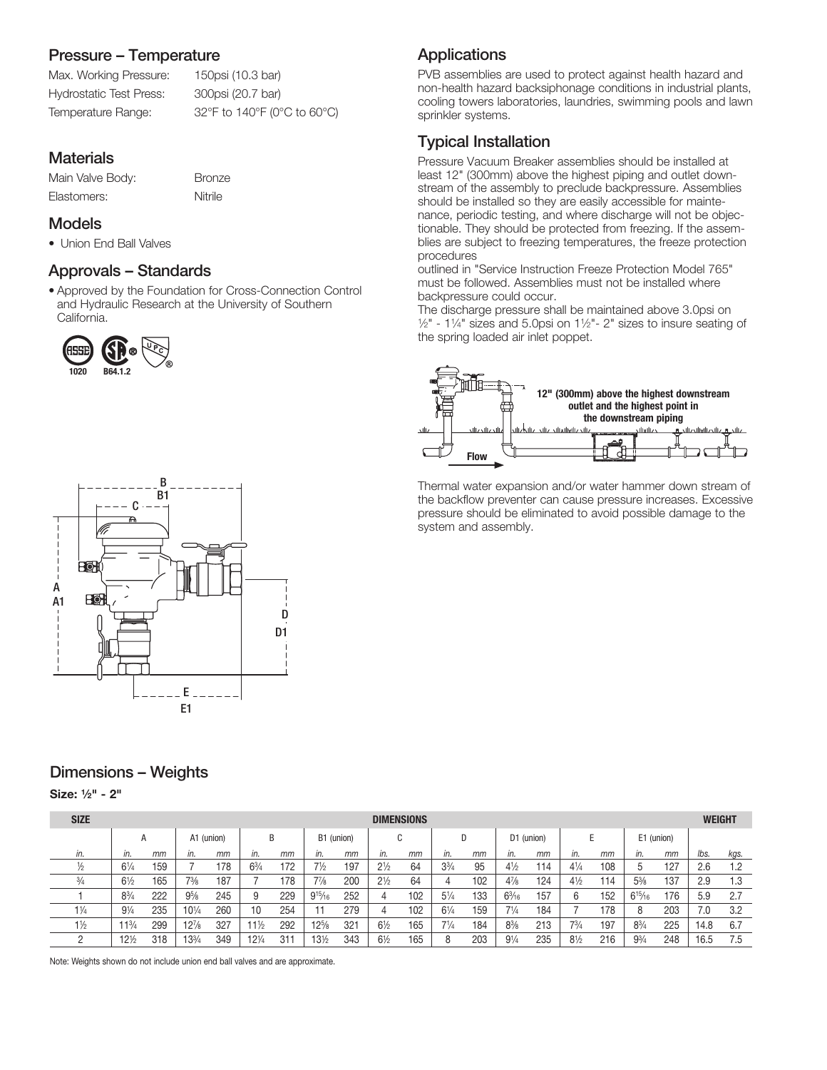## Pressure – Temperature

Max. Working Pressure: 150psi (10.3 bar) Hydrostatic Test Press: 300psi (20.7 bar) Temperature Range: 32°F to 140°F (0°C to 60°C)

# **Materials**

Main Valve Body: Bronze Elastomers: Nitrile

#### Models

• Union End Ball Valves

## Approvals – Standards

• Approved by the Foundation for Cross-Connection Control and Hydraulic Research at the University of Southern California.





## Dimensions – Weights

Size: 1⁄2" - 2"

| <b>SIZE</b>    | <b>DIMENSIONS</b> |     |                 |     |                 |            |                |     |                |     |                |            |                 |     |                | <b>WEIGHT</b> |                |     |      |      |
|----------------|-------------------|-----|-----------------|-----|-----------------|------------|----------------|-----|----------------|-----|----------------|------------|-----------------|-----|----------------|---------------|----------------|-----|------|------|
|                | А                 |     | A1 (union)<br>B |     |                 | B1 (union) |                | C   |                |     |                | D1 (union) |                 |     |                | E1 (union)    |                |     |      |      |
| in.            | in.               | mm  | in.             | mm  | in.             | mm         | in.            | mm  | in.            | mm  | in.            | mm         | in.             | mm  | in.            | mm            | in.            | mm  | lbs. | kgs. |
| ½              | $6\frac{1}{4}$    | 159 |                 | 178 | $6\frac{3}{4}$  | 172        | 7½             | 197 | $2\frac{1}{2}$ | 64  | $3\frac{3}{4}$ | 95         | $4\frac{1}{2}$  | 114 | $4\frac{1}{4}$ | 108           |                | 127 | 2.6  | 1.2  |
| $\frac{3}{4}$  | $6\frac{1}{2}$    | 165 | 73/8            | 187 |                 | 78         | $7\frac{7}{8}$ | 200 | $2\frac{1}{2}$ | 64  | 4              | 102        | $4\frac{7}{8}$  | 124 | $4\frac{1}{2}$ | 114           | $5\frac{3}{8}$ | 137 | 2.9  | 1.3  |
|                | $8\frac{3}{4}$    | 222 | $9\%$           | 245 |                 | 229        | $9^{15}/_{16}$ | 252 | 4              | 102 | $5\frac{1}{4}$ | 133        | $6\frac{3}{16}$ | 157 | 6              | 152           | $6^{15}/_{16}$ | 176 | 5.9  | -2.7 |
| $1\frac{1}{4}$ | $9\frac{1}{4}$    | 235 | $10^{1/4}$      | 260 | 10              | 254        |                | 279 | 4              | 102 | $6\frac{1}{4}$ | 159        | $7\frac{1}{4}$  | 184 |                | 178           |                | 203 | 7.0  | 3.2  |
| $1\frac{1}{2}$ | $11^{3}/4$        | 299 | $12\frac{7}{8}$ | 327 | 11½             | 292        | $12\%$         | 321 | $6\frac{1}{2}$ | 165 | $7\frac{1}{4}$ | 184        | $8\frac{3}{8}$  | 213 | 73/4           | 197           | $8^{3}/_{4}$   | 225 | 14.8 | 6.7  |
|                | $12\frac{1}{2}$   | 318 | $3^{3}/4$       | 349 | $12\frac{1}{4}$ | $31 -$     | 131/2          | 343 | $6\frac{1}{2}$ | 165 | 8              | 203        | $9\frac{1}{4}$  | 235 | $8\frac{1}{2}$ | 216           | $9^{3}/_{4}$   | 248 | 16.5 | 7.5  |

Note: Weights shown do not include union end ball valves and are approximate.

# **Applications**

PVB assemblies are used to protect against health hazard and non-health hazard backsiphonage conditions in industrial plants, cooling towers laboratories, laundries, swimming pools and lawn sprinkler systems.

# Typical Installation

Pressure Vacuum Breaker assemblies should be installed at least 12" (300mm) above the highest piping and outlet downstream of the assembly to preclude backpressure. Assemblies should be installed so they are easily accessible for maintenance, periodic testing, and where discharge will not be objectionable. They should be protected from freezing. If the assemblies are subject to freezing temperatures, the freeze protection procedures

outlined in "Service Instruction Freeze Protection Model 765" must be followed. Assemblies must not be installed where backpressure could occur.

The discharge pressure shall be maintained above 3.0psi on  $1/2$ " - 1 $1/4$ " sizes and 5.0psi on 1 $1/2$ " - 2" sizes to insure seating of the spring loaded air inlet poppet.



Thermal water expansion and/or water hammer down stream of the backflow preventer can cause pressure increases. Excessive pressure should be eliminated to avoid possible damage to the system and assembly.